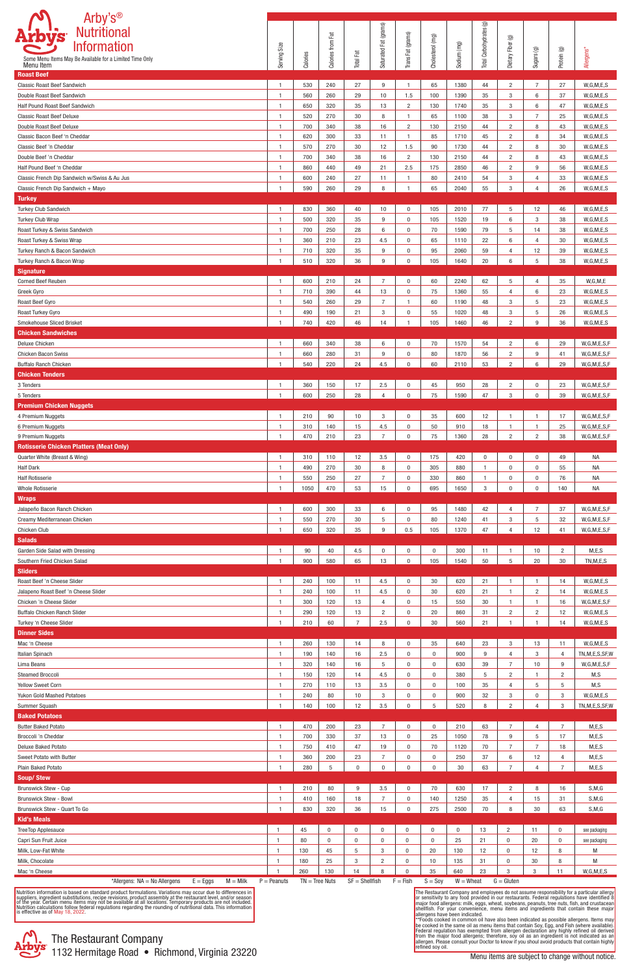

The Restaurant Company and employees do not assume responsibility for a particular allergy<br>or sensitivity to any food provided in our restaurants. Federal regulations have identified 8<br>major food allergens: milk, eggs, whe

| Arby's <sup>®</sup><br>Nutritional                                         |                                  |                  |                   |                      |                       |                            |                  |              |                         |                     |                |                |                                |
|----------------------------------------------------------------------------|----------------------------------|------------------|-------------------|----------------------|-----------------------|----------------------------|------------------|--------------|-------------------------|---------------------|----------------|----------------|--------------------------------|
| <b>Arbys</b><br><b>Information</b>                                         |                                  |                  | Calories from Fat |                      | Saturated Fat (grams) | Trans Fat (grams)          | Cholesterol (mg) |              | Total Carbohydrates (g) | Dietary Fiber (g)   |                |                |                                |
| Some Menu Items May Be Available for a Limited Time Only                   | Serving Size                     | Calories         |                   | <b>Total Fat</b>     |                       |                            |                  | Sodium (mg)  |                         |                     | Sugars (g)     | Protein (g)    | Allergens*                     |
| Menu Item                                                                  |                                  |                  |                   |                      |                       |                            |                  |              |                         |                     |                |                |                                |
| <b>Roast Beef</b><br>Classic Roast Beef Sandwich                           | $\mathbf{1}$                     | 530              | 240               | 27                   | 9                     | $\mathbf{1}$               | 65               | 1380         | 44                      | 2                   | $\overline{7}$ | 27             | W, G, M, E, S                  |
| Double Roast Beef Sandwich                                                 | $\mathbf{1}$                     | 560              | 260               | 29                   | 10                    | 1.5                        | 100              | 1390         | 35                      | 3                   | 6              | 37             | W, G, M, E, S                  |
| Half Pound Roast Beef Sandwich                                             | $\overline{1}$                   | 650              | 320               | 35                   | 13                    | $\overline{2}$             | 130              | 1740         | 35                      | 3                   | 6              | 47             | W, G, M, E, S                  |
| <b>Classic Roast Beef Deluxe</b>                                           | $\mathbf{1}$                     | 520              | 270               | 30                   | 8                     | $\mathbf{1}$               | 65               | 1100         | 38                      | 3                   | $\overline{7}$ | 25             | W, G, M, E, S                  |
| Double Roast Beef Deluxe                                                   | $\mathbf{1}$                     | 700              | 340               | 38                   | 16                    | $\overline{2}$             | 130              | 2150         | 44                      | $\overline{c}$      | 8              | 43             | W, G, M, E, S                  |
| Classic Bacon Beef 'n Cheddar                                              | $\mathbf{1}$                     | 620              | 300               | 33                   | 11                    | $\mathbf{1}$               | 85               | 1710         | 45                      | $\overline{c}$      | 8              | 34             | W, G, M, E, S                  |
| Classic Beef 'n Cheddar                                                    | $\mathbf{1}$                     | 570              | 270               | 30                   | 12                    | 1.5                        | 90               | 1730         | 44                      | 2                   | 8              | 30             | W, G, M, E, S                  |
| Double Beef 'n Cheddar                                                     | $\overline{1}$                   | 700              | 340               | 38                   | 16                    | $\overline{2}$             | 130              | 2150         | 44                      | 2                   | 8              | 43             | W, G, M, E, S                  |
| Half Pound Beef 'n Cheddar<br>Classic French Dip Sandwich w/Swiss & Au Jus | $\overline{1}$                   | 860              | 440<br>240        | 49<br>27             | 21                    | 2.5<br>$\mathbf{1}$        | 175              | 2850         | 46                      | $\overline{2}$<br>3 | 9<br>4         | 56<br>33       | W, G, M, E, S<br>W, G, M, E, S |
| Classic French Dip Sandwich + Mayo                                         | $\mathbf{1}$<br>$\mathbf{1}$     | 600<br>590       | 260               | 29                   | -11<br>8              | $\mathbf{1}$               | 80<br>65         | 2410<br>2040 | 54<br>55                | 3                   | 4              | 26             | W, G, M, E, S                  |
| <b>Turkey</b>                                                              |                                  |                  |                   |                      |                       |                            |                  |              |                         |                     |                |                |                                |
| <b>Turkey Club Sandwich</b>                                                | $\mathbf{1}$                     | 830              | 360               | 40                   | 10                    | $\mathbf 0$                | 105              | 2010         | 77                      | 5                   | 12             | 46             | W, G, M, E, S                  |
| Turkey Club Wrap                                                           | $\mathbf{1}$                     | 500              | 320               | 35                   | 9                     | $\mathbf 0$                | 105              | 1520         | 19                      | 6                   | 3              | 38             | W, G, M, E, S                  |
| Roast Turkey & Swiss Sandwich                                              | $\overline{1}$                   | 700              | 250               | 28                   | 6                     | $\mathbf 0$                | 70               | 1590         | 79                      | 5                   | 14             | 38             | W, G, M, E, S                  |
| Roast Turkey & Swiss Wrap                                                  | $\mathbf{1}$                     | 360              | 210               | 23                   | 4.5                   | $\mathbf 0$                | 65               | 1110         | 22                      | 6                   | 4              | 30             | W, G, M, E, S                  |
| Turkey Ranch & Bacon Sandwich                                              | $\mathbf{1}$                     | 710              | 320               | 35                   | 9                     | $\mathbf 0$                | 95               | 2060         | 59                      | $\overline{4}$      | 12             | 39             | W, G, M, E, S                  |
| Turkey Ranch & Bacon Wrap                                                  | $\mathbf{1}$                     | 510              | 320               | 36                   | 9                     | $\mathbf{0}$               | 105              | 1640         | 20                      | 6                   | 5              | 38             | W, G, M, E, S                  |
| <b>Signature</b>                                                           |                                  |                  |                   |                      |                       |                            |                  |              |                         |                     |                |                |                                |
| <b>Corned Beef Reuben</b>                                                  | $\overline{1}$<br>$\overline{1}$ | 600              | 210<br>390        | 24<br>44             | $\overline{7}$        | $\mathbf 0$<br>$\mathbf 0$ | 60               | 2240         | 62<br>55                | 5<br>$\overline{4}$ | 4              | 35             | W, G, M, E<br>W, G, M, E, S    |
| Greek Gyro<br>Roast Beef Gyro                                              | $\mathbf{1}$                     | 710<br>540       | 260               | 29                   | 13<br>$\overline{7}$  | $\mathbf{1}$               | 75<br>60         | 1360<br>1190 | 48                      | 3                   | 6<br>5         | 23<br>23       | W, G, M, E, S                  |
| Roast Turkey Gyro                                                          | $\mathbf{1}$                     | 490              | 190               | 21                   | 3                     | $\mathbf 0$                | 55               | 1020         | 48                      | 3                   | 5              | 26             | W, G, M, E, S                  |
| Smokehouse Sliced Brisket                                                  | $\mathbf{1}$                     | 740              | 420               | 46                   | 14                    | $\mathbf{1}$               | 105              | 1460         | 46                      | $\overline{c}$      | 9              | 36             | W, G, M, E, S                  |
| <b>Chicken Sandwiches</b>                                                  |                                  |                  |                   |                      |                       |                            |                  |              |                         |                     |                |                |                                |
| Deluxe Chicken                                                             | $\overline{1}$                   | 660              | 340               | 38                   | 6                     | $\mathbf 0$                | 70               | 1570         | 54                      | $\overline{c}$      | 6              | 29             | W, G, M, E, S, F               |
| <b>Chicken Bacon Swiss</b>                                                 | -1                               | 660              | 280               | 31                   | 9                     | $\mathbf 0$                | 80               | 1870         | 56                      | 2                   | 9              | 41             | W, G, M, E, S, F               |
| <b>Buffalo Ranch Chicken</b>                                               |                                  | 540              | 220               | 24                   | 4.5                   | $\Omega$                   | 60               | 2110         | 53                      | $\mathcal{D}$       | 6              | 29             | W, G, M, E, S, F               |
| <b>Chicken Tenders</b>                                                     |                                  |                  |                   |                      |                       |                            |                  |              |                         |                     |                |                |                                |
| 3 Tenders                                                                  | $\overline{1}$                   | 360              | 150               | 17                   | 2.5                   | $\bf{0}$                   | 45               | 950          | 28                      | $\overline{c}$      | $\bf{0}$       | 23             | W, G, M, E, S, F               |
| 5 Tenders<br><b>Premium Chicken Nuggets</b>                                | -1                               | 600              | 250               | 28                   | $\overline{4}$        | $\mathbf 0$                | 75               | 1590         | 47                      | 3                   | $\Omega$       | 39             | W, G, M, E, S, F               |
| 4 Premium Nuggets                                                          | $\overline{1}$                   | 210              | 90                | 10                   | 3                     | 0                          | 35               | 600          | 12                      |                     |                | 17             | W, G, M, E, S, F               |
| 6 Premium Nuggets                                                          | $\mathbf{1}$                     | 310              | 140               | 15                   | 4.5                   | $\mathbf 0$                | 50               | 910          | 18                      | -1                  |                | 25             | W, G, M, E, S, F               |
| 9 Premium Nuggets                                                          | $\mathbf{1}$                     | 470              | 210               | 23                   | $\overline{7}$        | $\mathbf 0$                | 75               | 1360         | 28                      | $\overline{c}$      | $\overline{2}$ | 38             | W, G, M, E, S, F               |
| <b>Rotisserie Chicken Platters (Meat Only)</b>                             |                                  |                  |                   |                      |                       |                            |                  |              |                         |                     |                |                |                                |
| Quarter White (Breast & Wing)                                              | $\overline{1}$                   | 310              | 110               | 12                   | 3.5                   | $\mathbf 0$                | 175              | 420          | $\mathbf 0$             | $\mathbf 0$         | $\bf{0}$       | 49             | <b>NA</b>                      |
| <b>Half Dark</b>                                                           | $\overline{1}$                   | 490              | 270               | 30                   | 8                     | $\mathbf 0$                | 305              | 880          | $\mathbf{1}$            | $\mathbf{0}$        | $\mathbf{0}$   | 55             | <b>NA</b>                      |
| <b>Half Rotisserie</b>                                                     | $\overline{1}$                   | 550              | 250               | 27                   | $\overline{7}$        | $\mathbf 0$                | 330              | 860          | $\mathbf{1}$            | $\Omega$            | $\bf{0}$       | 76             | <b>NA</b>                      |
| <b>Whole Rotisserie</b>                                                    | -1                               | 1050             | 470               | 53                   | 15                    | $\mathbf 0$                | 695              | 1650         | 3                       | $\Omega$            | $\mathbf{0}$   | 140            | <b>NA</b>                      |
| <b>Wraps</b>                                                               | $\overline{1}$                   | 600              | 300               |                      |                       | $\mathbf 0$                |                  | 1480         |                         | $\overline{4}$      | $\overline{7}$ |                | W, G, M, E, S, F               |
| Jalapeño Bacon Ranch Chicken<br>Creamy Mediterranean Chicken               | $\mathbf{1}$                     | 550              | 270               | 33<br>30             | 6<br>5                | $\mathbf 0$                | 95<br>80         | 1240         | 42<br>41                | 3                   | 5              | 37<br>32       | W, G, M, E, S, F               |
| Chicken Club                                                               | $\mathbf{1}$                     | 650              | 320               | 35                   | 9                     | 0.5                        | 105              | 1370         | 47                      | 4                   | 12             | 41             | W, G, M, E, S, F               |
| <b>Salads</b>                                                              |                                  |                  |                   |                      |                       |                            |                  |              |                         |                     |                |                |                                |
| Garden Side Salad with Dressing                                            | $\mathbf{1}$                     | 90               | 40                | 4.5                  | $\bf{0}$              | 0                          | $\bf{0}$         | 300          | 11                      | -1                  | 10             | $\overline{2}$ | M, E, S                        |
| Southern Fried Chicken Salad                                               | $\overline{1}$                   | 900              | 580               | 65                   | 13                    | $\mathbf 0$                | 105              | 1540         | 50                      | 5                   | 20             | $30\,$         | TN, M, E, S                    |
| <b>Sliders</b>                                                             |                                  |                  |                   |                      |                       |                            |                  |              |                         |                     |                |                |                                |
| Roast Beef 'n Cheese Slider                                                | $\mathbf{1}$                     | 240              | 100               | 11                   | 4.5                   | $\mathbf 0$                | 30               | 620          | 21                      | -1                  | $\mathbf{1}$   | 14             | W, G, M, E, S                  |
| Jalapeno Roast Beef 'n Cheese Slider                                       | $\mathbf{1}$                     | 240              | 100               | 11                   | 4.5                   | $\mathbf 0$                | 30               | 620          | 21                      | -1                  | $\overline{2}$ | 14             | W, G, M, E, S                  |
| Chicken 'n Cheese Slider                                                   | $\mathbf{1}$                     | 300              | 120               | 13                   | 4                     | $\mathbf 0$                | 15               | 550          | 30                      |                     |                | 16             | W, G, M, E, S, F               |
| Buffalo Chicken Ranch Slider<br>Turkey 'n Cheese Slider                    | $\mathbf{1}$<br>$\mathbf{1}$     | 290<br>210       | 120<br>60         | 13<br>$\overline{7}$ | $\overline{2}$<br>2.5 | $\mathbf 0$<br>$\mathbf 0$ | 20<br>30         | 860<br>560   | 31<br>21                | $\overline{c}$      | $\overline{2}$ | 12<br>14       | W, G, M, E, S<br>W, G, M, E, S |
| <b>Dinner Sides</b>                                                        |                                  |                  |                   |                      |                       |                            |                  |              |                         |                     |                |                |                                |
| Mac 'n Cheese                                                              | $\mathbf{1}$                     | 260              | 130               | 14                   | 8                     | $\mathbf 0$                | 35               | 640          | 23                      | 3                   | 13             | 11             | W, G, M, E, S                  |
| Italian Spinach                                                            | $\overline{1}$                   | 190              | 140               | 16                   | 2.5                   | $\mathbf 0$                | $\bf{0}$         | 900          | 9                       | $\overline{4}$      | 3              | 4              | TN, M, E, S, SF, W             |
| Lima Beans                                                                 | $\overline{1}$                   | 320              | 140               | 16                   | 5                     | $\mathbf 0$                | $\bf{0}$         | 630          | 39                      | 7                   | 10             | 9              | W,G,M,E,S,F                    |
| <b>Steamed Broccoli</b>                                                    | $\mathbf{1}$                     | 150              | 120               | 14                   | 4.5                   | $\mathbf 0$                | $\bf{0}$         | 380          | 5                       | 2                   | -1             | $\overline{2}$ | M,S                            |
| <b>Yellow Sweet Corn</b>                                                   | $\mathbf{1}$                     | 270              | 110               | 13                   | 3.5                   | $\mathbf 0$                | $\bf{0}$         | 100          | 35                      | $\overline{4}$      | 5              | 5              | M, S                           |
| Yukon Gold Mashed Potatoes                                                 | $\overline{1}$                   | 240              | 80                | 10                   | 3                     | $\mathbf 0$                | $\bf{0}$         | 900          | 32                      | 3                   | $\bf{0}$       | 3              | W, G, M, E, S                  |
| Summer Squash<br><b>Baked Potatoes</b>                                     |                                  | 140              | 100               | 12                   | 3.5                   | $\Omega$                   | 5                | 520          | 8                       | $\mathcal{P}$       |                | 3              | TN, M, E, S, SF, W             |
| <b>Butter Baked Potato</b>                                                 | 1                                | 470              | 200               | 23                   |                       | 0                          | $\bf{0}$         | 210          | 63                      |                     | 4              | $\overline{7}$ | M, E, S                        |
| Broccoli 'n Cheddar                                                        | $\mathbf{1}$                     | 700              | 330               | 37                   | 13                    | $\mathbf 0$                | 25               | 1050         | 78                      | 9                   | 5              | 17             | M, E, S                        |
| <b>Deluxe Baked Potato</b>                                                 | $\mathbf{1}$                     | 750              | 410               | 47                   | 19                    | $\mathbf 0$                | 70               | 1120         | 70                      | 7                   | $\overline{7}$ | 18             | M, E, S                        |
| Sweet Potato with Butter                                                   | $\mathbf{1}$                     | 360              | 200               | 23                   | $\overline{7}$        | $\bf{0}$                   | $\bf{0}$         | 250          | 37                      | 6                   | 12             | $\overline{4}$ | M, E, S                        |
| Plain Baked Potato                                                         | -1                               | 280              | 5                 | $\mathbf 0$          | $\mathbf 0$           | $\mathbf{0}$               | $\bf{0}$         | 30           | 63                      | $\overline{7}$      | 4              | $\overline{7}$ | M, E, S                        |
| <b>Soup/Stew</b>                                                           |                                  |                  |                   |                      |                       |                            |                  |              |                         |                     |                |                |                                |
| <b>Brunswick Stew - Cup</b>                                                | $\overline{1}$                   | 210              | 80                | 9                    | 3.5                   | $\mathbf 0$                | 70               | 630          | 17                      | $\overline{c}$      | 8              | 16             | S, M, G                        |
| <b>Brunswick Stew - Bowl</b>                                               | $\mathbf{1}$                     | 410              | 160               | 18                   | $\overline{7}$        | $\mathbf 0$                | 140              | 1250         | 35                      | 4                   | 15             | 31             | S, M, G                        |
| Brunswick Stew - Quart To Go                                               | $\mathbf{1}$                     | 830              | 320               | 36                   | 15                    | $\mathbf 0$                | 275              | 2500         | 70                      | 8                   | 30             | 63             | S, M, G                        |
| <b>Kid's Meals</b><br>TreeTop Applesauce                                   | $\overline{1}$                   | 45               | $\bf{0}$          | $\mathbf 0$          | $\mathbf 0$           | 0                          | $\mathbf 0$      | $\mathbf 0$  |                         | 2                   | 11             | $\bf{0}$       |                                |
| Capri Sun Fruit Juice                                                      | $\overline{1}$                   | 80               | $\bf{0}$          | $\mathbf 0$          | $\mathbf 0$           | $\bf{0}$                   | $\bf{0}$         | 25           | 13<br>21                | $\bf{0}$            | 20             | $\bf{0}$       | see packaging<br>see packaging |
| Milk, Low-Fat White                                                        | $\mathbf{1}$                     | 130              | 45                | 5                    | 3                     | 0                          | 20               | 130          | 12                      | $\bf{0}$            | 12             | 8              | M                              |
| Milk, Chocolate                                                            | -1                               | 180              | 25                | 3                    | $\overline{2}$        | 0                          | 10               | 135          | 31                      | $\bf{0}$            | 30             | 8              | M                              |
| Mac 'n Cheese                                                              | $\overline{1}$                   | 260              | 130               | 14                   | 8                     | 0                          | 35               | 640          | 23                      | 3                   | 3              | 11             | W, G, M, E, S                  |
| $M =$ Milk<br>*Allergens: $NA = No$ Allergens<br>$E = Eggs$                | $\overline{P}$ = Peanuts         | $TN = Tree Nuts$ |                   | $SF = Shellfish$     |                       | $F = Fish$                 | $S =$ Soy        | $W =$ Wheat  |                         | $G = Gluten$        |                |                |                                |

Nutrition information is based on standard product formulations. Variations may occur due to differences in<br>suppliers, ingredient substitutions, recipe revisions, product assembly at the restaurant level, and/or season<br>of